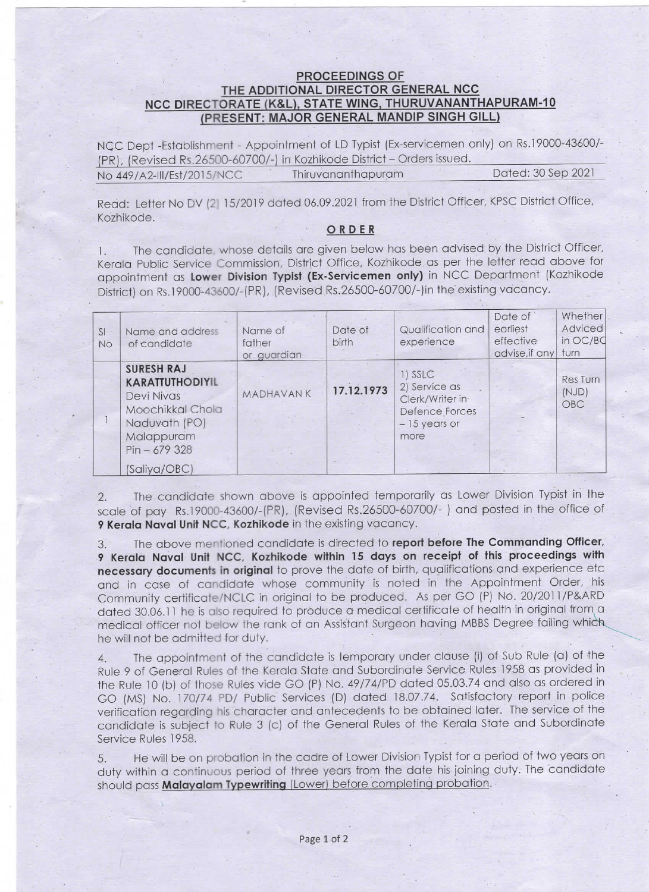## **PROCEEDINGS OF<br>THE ADDITIONAL DIRECTOR GENERAL NCC** NCC DIRECTORATE (K&L), STATE WING, THURUVANANTHAPURAM-10<br>(PRESENT: MAJOR GENERAL MANDIP SINGH GILL)

NCC Dept -Establishment -Appointment of LD Typist (Ex-servicemen only) on Rs.19000-43600/- (PR), (Revised Rs.26500-60700/-) in Kozhikode District - Orders issued. No 449/A2-III/Est/2015/NCC Thiruvananthapuram Dated: 30 Sep 2021

Read: Letter No DV (2) 15/2019 dated 06.09.2021 from the District Officer, KPSC District Office, Kozhikode.

## ORDER

1. The candidate, whose details are given below has been advised by the District Officer, Kerala Public Service Commission, District Office, Kozhikode as per the letter read above for appointment as Lower Division Typist (Ex-Servicemen only) in NCC Department (Kozhikode District) on Rs.19000-43600/-(PR), (Revised Rs.26500-60700/-)in the existing vacancy.

| SI<br><b>No</b> | Name and address<br>of candidate                                                                                                               | Name of<br>father<br>or guardian | Date of<br><b>birth</b> | Qualification and<br>experience                                                         | Date of<br>earliest<br>effective<br>advise, if any | Whether<br>Adviced<br>in OC/BC<br>turn |
|-----------------|------------------------------------------------------------------------------------------------------------------------------------------------|----------------------------------|-------------------------|-----------------------------------------------------------------------------------------|----------------------------------------------------|----------------------------------------|
|                 | <b>SURESH RAJ</b><br><b>KARATTUTHODIYIL</b><br>Devi Nivas<br>Moochikkal Chola<br>Naduvath (PO)<br>Malappuram<br>$Pin - 679328$<br>(Saliya/OBC) | <b>MADHAVANK</b>                 | 17.12.1973              | 1) SSLC<br>2) Service as<br>Clerk/Writer in<br>Defence Forces<br>$-15$ years or<br>more |                                                    | <b>Res</b> Turn<br>(NJD)<br>OBC        |

2. The candidate shown above is appointed temporarily as Lower Division Typist in the scale of pay Rs.19000-43600/-(PR), (Revised Rs.26500-60700/-) and posted in the office of 9 Kerala Naval Unit NCC, Kozhikode in the existing vacancy.

3. The above mentioned candidate is directed to report before The Commanding Officer, 9 Kerala Naval Unit NCC, Kozhikode within 15 days on receipt of this proceedings with necessary documents in original to prove the date of birth, qualifications and experience etc and in case of candidate whose community is noted in the Appointment Order, his Community certificate/NCLC in original to be produced. As per GO (P) No. 20/2011/P&ARD dated 30.06.11 he is also required to produce a medical certificate of health in original from a :medical officer not below the rank of an Assistant Surgeon having MBBS Degree failing which he will not be admitted for duty.

4. The appointment of the candidate is temporary under clause (i) of Sub Rule (a) of the Rule 9 of General Rules of the Kerala State and Subordinate Service Rules 1958 as provided in the Rule 10 (b) of those Rules vide GO (P) No. 49/74/PD dated 05.03.74 and also as ordered in GO (MS) No. 170/74 PD/ Public Services (D) dated 18.07.74. Satisfactory report in police verification regarding his character and antecedents to be obtained later. The service of the candidate is subject to Rule 3 (c) of the General Rules of the Kerala State and Subordinate Service Rules 1958.

5. He will be on probation in the cadre of Lower Division Typist for a period of two years on duty within a continuous period of three years from the date his joining duty. The candidate should pass Malayalam Typewriting (Lower) before completing probation.